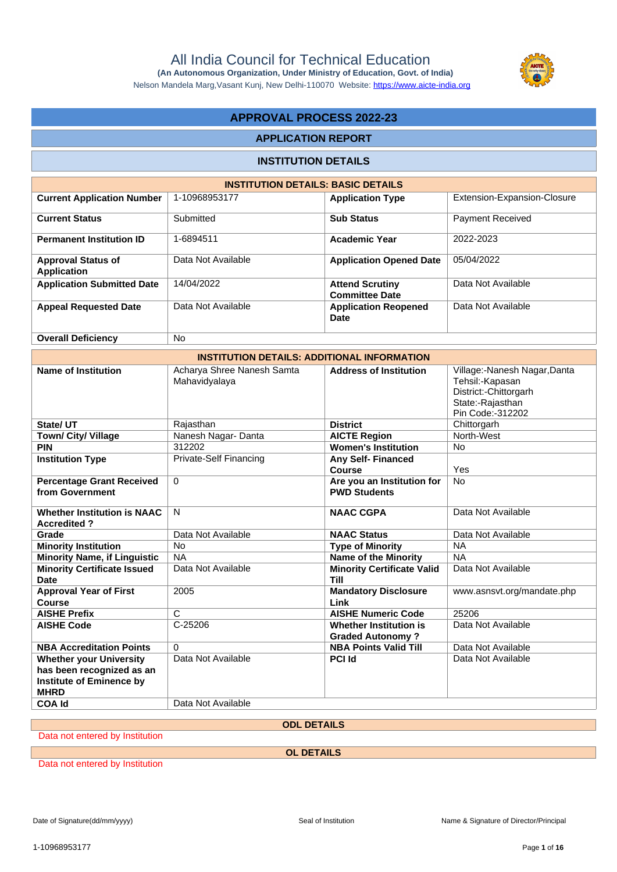**(An Autonomous Organization, Under Ministry of Education, Govt. of India)** Nelson Mandela Marg,Vasant Kunj, New Delhi-110070 Website:<https://www.aicte-india.org>

# **APPROVAL PROCESS 2022-23**

#### **APPLICATION REPORT**

### **INSTITUTION DETAILS**

| <b>INSTITUTION DETAILS: BASIC DETAILS</b>       |                    |                                                 |                             |  |  |
|-------------------------------------------------|--------------------|-------------------------------------------------|-----------------------------|--|--|
| <b>Current Application Number</b>               | 1-10968953177      | <b>Application Type</b>                         | Extension-Expansion-Closure |  |  |
| <b>Current Status</b>                           | Submitted          | <b>Sub Status</b>                               | <b>Payment Received</b>     |  |  |
| <b>Permanent Institution ID</b>                 | 1-6894511          | <b>Academic Year</b>                            | 2022-2023                   |  |  |
| <b>Approval Status of</b><br><b>Application</b> | Data Not Available | <b>Application Opened Date</b>                  | 05/04/2022                  |  |  |
| <b>Application Submitted Date</b>               | 14/04/2022         | <b>Attend Scrutiny</b><br><b>Committee Date</b> | Data Not Available          |  |  |
| <b>Appeal Requested Date</b>                    | Data Not Available | <b>Application Reopened</b><br>Date             | Data Not Available          |  |  |
| <b>Overall Deficiency</b>                       | <b>No</b>          |                                                 |                             |  |  |

| <b>INSTITUTION DETAILS: ADDITIONAL INFORMATION</b>                                                            |                                             |                                                          |                                                                                                                  |  |  |
|---------------------------------------------------------------------------------------------------------------|---------------------------------------------|----------------------------------------------------------|------------------------------------------------------------------------------------------------------------------|--|--|
| <b>Name of Institution</b>                                                                                    | Acharya Shree Nanesh Samta<br>Mahavidyalaya | <b>Address of Institution</b>                            | Village:-Nanesh Nagar, Danta<br>Tehsil:-Kapasan<br>District:-Chittorgarh<br>State:-Rajasthan<br>Pin Code:-312202 |  |  |
| State/ UT                                                                                                     | Rajasthan                                   | <b>District</b>                                          | Chittorgarh                                                                                                      |  |  |
| <b>Town/ City/ Village</b>                                                                                    | Nanesh Nagar-Danta                          | <b>AICTE Region</b>                                      | North-West                                                                                                       |  |  |
| <b>PIN</b>                                                                                                    | 312202                                      | <b>Women's Institution</b>                               | <b>No</b>                                                                                                        |  |  |
| <b>Institution Type</b>                                                                                       | Private-Self Financing                      | <b>Any Self- Financed</b><br>Course                      | Yes                                                                                                              |  |  |
| <b>Percentage Grant Received</b><br>from Government                                                           | $\Omega$                                    | Are you an Institution for<br><b>PWD Students</b>        | No                                                                                                               |  |  |
| <b>Whether Institution is NAAC</b><br><b>Accredited?</b>                                                      | N                                           | <b>NAAC CGPA</b>                                         | Data Not Available                                                                                               |  |  |
| Grade                                                                                                         | Data Not Available                          | <b>NAAC Status</b>                                       | Data Not Available                                                                                               |  |  |
| <b>Minority Institution</b>                                                                                   | <b>No</b>                                   | <b>Type of Minority</b>                                  | <b>NA</b>                                                                                                        |  |  |
| <b>Minority Name, if Linguistic</b>                                                                           | <b>NA</b>                                   | <b>Name of the Minority</b>                              | <b>NA</b>                                                                                                        |  |  |
| <b>Minority Certificate Issued</b><br><b>Date</b>                                                             | Data Not Available                          | <b>Minority Certificate Valid</b><br>Till                | Data Not Available                                                                                               |  |  |
| <b>Approval Year of First</b><br>Course                                                                       | 2005                                        | <b>Mandatory Disclosure</b><br>Link                      | www.asnsvt.org/mandate.php                                                                                       |  |  |
| <b>AISHE Prefix</b>                                                                                           | C                                           | <b>AISHE Numeric Code</b>                                | 25206                                                                                                            |  |  |
| <b>AISHE Code</b>                                                                                             | $C-25206$                                   | <b>Whether Institution is</b><br><b>Graded Autonomy?</b> | Data Not Available                                                                                               |  |  |
| <b>NBA Accreditation Points</b>                                                                               | $\Omega$                                    | <b>NBA Points Valid Till</b>                             | Data Not Available                                                                                               |  |  |
| <b>Whether your University</b><br>has been recognized as an<br><b>Institute of Eminence by</b><br><b>MHRD</b> | Data Not Available                          | <b>PCI Id</b>                                            | Data Not Available                                                                                               |  |  |
| <b>COA Id</b>                                                                                                 | Data Not Available                          |                                                          |                                                                                                                  |  |  |

**ODL DETAILS**

Data not entered by Institution

**OL DETAILS**

Data not entered by Institution

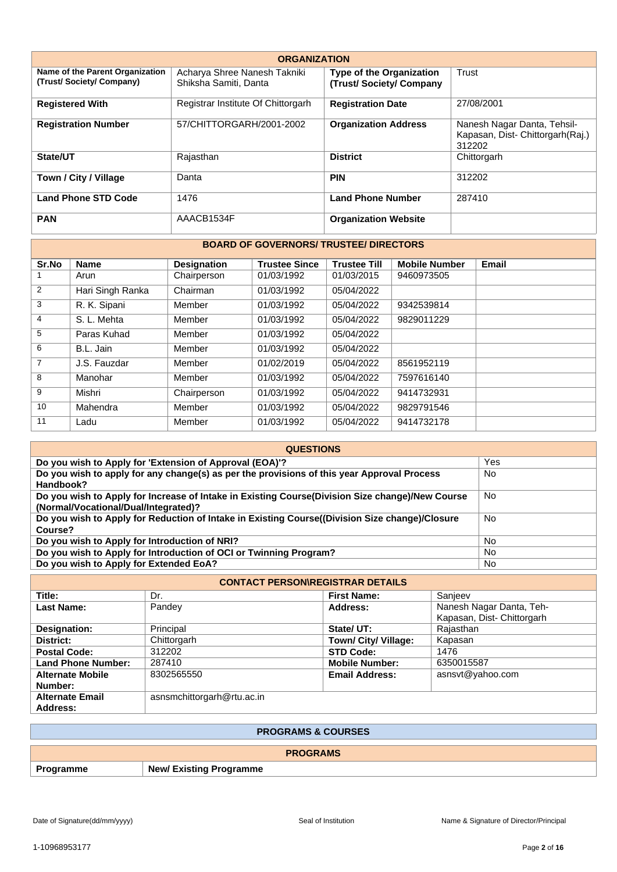| <b>ORGANIZATION</b>                                        |                                                       |                                                           |                                                                           |  |  |  |
|------------------------------------------------------------|-------------------------------------------------------|-----------------------------------------------------------|---------------------------------------------------------------------------|--|--|--|
| Name of the Parent Organization<br>(Trust/Society/Company) | Acharya Shree Nanesh Takniki<br>Shiksha Samiti, Danta | <b>Type of the Organization</b><br>(Trust/Society/Company | Trust                                                                     |  |  |  |
| <b>Registered With</b>                                     | Registrar Institute Of Chittorgarh                    | <b>Registration Date</b>                                  | 27/08/2001                                                                |  |  |  |
| <b>Registration Number</b>                                 | 57/CHITTORGARH/2001-2002                              | <b>Organization Address</b>                               | Nanesh Nagar Danta, Tehsil-<br>Kapasan, Dist- Chittorgarh(Raj.)<br>312202 |  |  |  |
| State/UT                                                   | Rajasthan                                             | <b>District</b>                                           | Chittorgarh                                                               |  |  |  |
| Town / City / Village                                      | Danta                                                 | <b>PIN</b>                                                | 312202                                                                    |  |  |  |
| <b>Land Phone STD Code</b>                                 | 1476                                                  | <b>Land Phone Number</b>                                  | 287410                                                                    |  |  |  |
| <b>PAN</b>                                                 | AAACB1534F                                            | <b>Organization Website</b>                               |                                                                           |  |  |  |

#### **BOARD OF GOVERNORS/ TRUSTEE/ DIRECTORS**

| Sr.No          | <b>Name</b>      | <b>Designation</b> | <b>Trustee Since</b> | <b>Trustee Till</b> | <b>Mobile Number</b> | Email |
|----------------|------------------|--------------------|----------------------|---------------------|----------------------|-------|
|                | Arun             | Chairperson        | 01/03/1992           | 01/03/2015          | 9460973505           |       |
| 2              | Hari Singh Ranka | Chairman           | 01/03/1992           | 05/04/2022          |                      |       |
| 3              | R. K. Sipani     | Member             | 01/03/1992           | 05/04/2022          | 9342539814           |       |
| 4              | S. L. Mehta      | Member             | 01/03/1992           | 05/04/2022          | 9829011229           |       |
| 5              | Paras Kuhad      | Member             | 01/03/1992           | 05/04/2022          |                      |       |
| 6              | B.L. Jain        | Member             | 01/03/1992           | 05/04/2022          |                      |       |
| $\overline{7}$ | J.S. Fauzdar     | Member             | 01/02/2019           | 05/04/2022          | 8561952119           |       |
| 8              | Manohar          | Member             | 01/03/1992           | 05/04/2022          | 7597616140           |       |
| 9              | Mishri           | Chairperson        | 01/03/1992           | 05/04/2022          | 9414732931           |       |
| 10             | Mahendra         | Member             | 01/03/1992           | 05/04/2022          | 9829791546           |       |
| 11             | Ladu             | Member             | 01/03/1992           | 05/04/2022          | 9414732178           |       |

| <b>QUESTIONS</b>                                                                                                                        |           |  |  |  |
|-----------------------------------------------------------------------------------------------------------------------------------------|-----------|--|--|--|
| Do you wish to Apply for 'Extension of Approval (EOA)'?                                                                                 | Yes       |  |  |  |
| Do you wish to apply for any change(s) as per the provisions of this year Approval Process<br>Handbook?                                 | No.       |  |  |  |
| Do you wish to Apply for Increase of Intake in Existing Course(Division Size change)/New Course<br>(Normal/Vocational/Dual/Integrated)? | No.       |  |  |  |
| Do you wish to Apply for Reduction of Intake in Existing Course((Division Size change)/Closure<br>Course?                               | <b>No</b> |  |  |  |
| Do you wish to Apply for Introduction of NRI?                                                                                           | No.       |  |  |  |
| Do you wish to Apply for Introduction of OCI or Twinning Program?                                                                       | <b>No</b> |  |  |  |
| Do you wish to Apply for Extended EoA?                                                                                                  | No        |  |  |  |

| <b>CONTACT PERSON\REGISTRAR DETAILS</b> |                            |                       |                            |  |
|-----------------------------------------|----------------------------|-----------------------|----------------------------|--|
| Title:                                  | Dr.                        | <b>First Name:</b>    | Sanjeev                    |  |
| <b>Last Name:</b>                       | Pandey                     | Address:              | Nanesh Nagar Danta, Teh-   |  |
|                                         |                            |                       | Kapasan, Dist- Chittorgarh |  |
| Designation:                            | Principal                  | State/ UT:            | Rajasthan                  |  |
| District:                               | Chittorgarh                | Town/ City/ Village:  | Kapasan                    |  |
| <b>Postal Code:</b>                     | 312202                     | <b>STD Code:</b>      | 1476                       |  |
| <b>Land Phone Number:</b>               | 287410                     | <b>Mobile Number:</b> | 6350015587                 |  |
| <b>Alternate Mobile</b>                 | 8302565550                 | <b>Email Address:</b> | asnsvt@yahoo.com           |  |
| Number:                                 |                            |                       |                            |  |
| <b>Alternate Email</b>                  | asnsmchittorgarh@rtu.ac.in |                       |                            |  |
| Address:                                |                            |                       |                            |  |

| <b>PROGRAMS &amp; COURSES</b> |                                |  |  |
|-------------------------------|--------------------------------|--|--|
| <b>PROGRAMS</b>               |                                |  |  |
| Programme                     | <b>New/ Existing Programme</b> |  |  |

F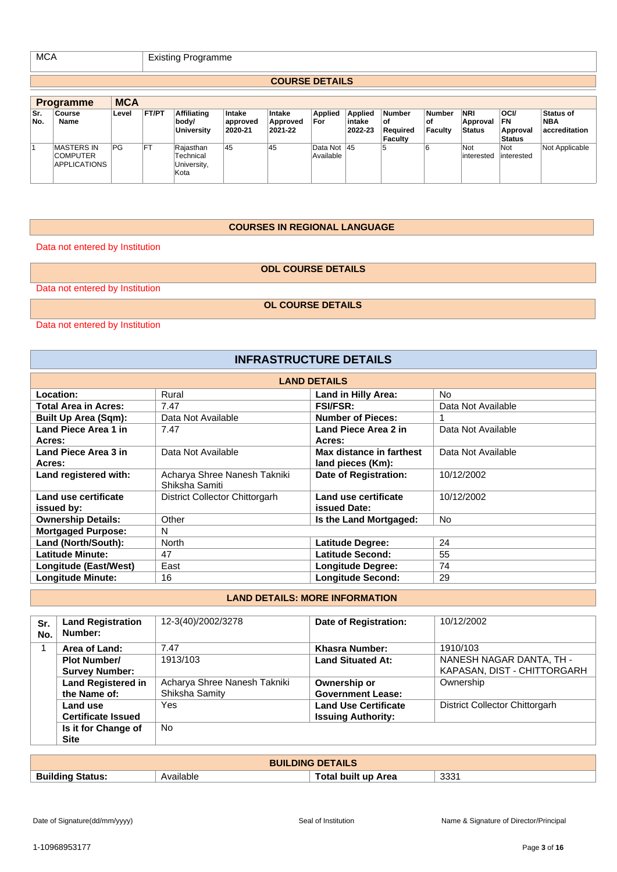MCA Existing Programme

#### **COURSE DETAILS**

|            | <b>Programme</b>                                            | <b>MCA</b> |           |                                               |                               |                               |                          |                              |                                                   |                                        |                                         |                                         |                                          |
|------------|-------------------------------------------------------------|------------|-----------|-----------------------------------------------|-------------------------------|-------------------------------|--------------------------|------------------------------|---------------------------------------------------|----------------------------------------|-----------------------------------------|-----------------------------------------|------------------------------------------|
| Sr.<br>No. | Course<br>Name                                              | Level      | FT/PT     | <b>Affiliating</b><br>body/<br>University     | Intake<br>approved<br>2020-21 | Intake<br>Approved<br>2021-22 | <b>Applied</b><br>For    | Applied<br>intake<br>2022-23 | <b>Number</b><br>οf<br>Reauired<br><b>Faculty</b> | <b>Number</b><br>.of<br><b>Faculty</b> | <b>NRI</b><br>Approval<br><b>Status</b> | oci/<br>FN<br>Approval<br><b>Status</b> | <b>Status of</b><br>NBA<br>accreditation |
|            | <b>MASTERS IN</b><br><b>COMPUTER</b><br><b>APPLICATIONS</b> | PG         | <b>FT</b> | Rajasthan<br>Technical<br>University,<br>Kota | 45                            | 45                            | Data Not 45<br>Available |                              | 5                                                 |                                        | Not<br>interested                       | Not<br>interested                       | Not Applicable                           |

#### **COURSES IN REGIONAL LANGUAGE**

Data not entered by Institution

**ODL COURSE DETAILS**

Data not entered by Institution

**OL COURSE DETAILS**

Data not entered by Institution

# **INFRASTRUCTURE DETAILS**

| <b>LAND DETAILS</b>         |                                                |                          |                    |  |  |
|-----------------------------|------------------------------------------------|--------------------------|--------------------|--|--|
| Location:                   | Rural                                          | Land in Hilly Area:      | No.                |  |  |
| Total Area in Acres:        | 7.47                                           | <b>FSI/FSR:</b>          | Data Not Available |  |  |
| <b>Built Up Area (Sqm):</b> | Data Not Available                             | <b>Number of Pieces:</b> |                    |  |  |
| Land Piece Area 1 in        | 7.47                                           | Land Piece Area 2 in     | Data Not Available |  |  |
| Acres:                      |                                                | Acres:                   |                    |  |  |
| Land Piece Area 3 in        | Data Not Available                             | Max distance in farthest | Data Not Available |  |  |
| Acres:                      |                                                | land pieces (Km):        |                    |  |  |
| Land registered with:       | Acharya Shree Nanesh Takniki<br>Shiksha Samiti | Date of Registration:    | 10/12/2002         |  |  |
| Land use certificate        | District Collector Chittorgarh                 | Land use certificate     | 10/12/2002         |  |  |
| issued by:                  |                                                | <b>issued Date:</b>      |                    |  |  |
| <b>Ownership Details:</b>   | Other                                          | Is the Land Mortgaged:   | <b>No</b>          |  |  |
| <b>Mortgaged Purpose:</b>   | N                                              |                          |                    |  |  |
| Land (North/South):         | <b>North</b>                                   | <b>Latitude Degree:</b>  | 24                 |  |  |
| <b>Latitude Minute:</b>     | 47                                             | Latitude Second:         | 55                 |  |  |
| Longitude (East/West)       | East                                           | <b>Longitude Degree:</b> | 74                 |  |  |
| <b>Longitude Minute:</b>    | 16                                             | <b>Longitude Second:</b> | 29                 |  |  |

## **LAND DETAILS: MORE INFORMATION**

| Sr.<br>No. | <b>Land Registration</b><br>Number: | 12-3(40)/2002/3278           | Date of Registration:       | 10/12/2002                     |
|------------|-------------------------------------|------------------------------|-----------------------------|--------------------------------|
| 1          | Area of Land:                       | 7.47                         | Khasra Number:              | 1910/103                       |
|            | <b>Plot Number/</b>                 | 1913/103                     | <b>Land Situated At:</b>    | NANESH NAGAR DANTA, TH -       |
|            | <b>Survey Number:</b>               |                              |                             | KAPASAN, DIST - CHITTORGARH    |
|            | <b>Land Registered in</b>           | Acharya Shree Nanesh Takniki | Ownership or                | Ownership                      |
|            | the Name of:                        | Shiksha Samity               | <b>Government Lease:</b>    |                                |
|            | Land use                            | Yes                          | <b>Land Use Certificate</b> | District Collector Chittorgarh |
|            | <b>Certificate Issued</b>           |                              | <b>Issuing Authority:</b>   |                                |
|            | Is it for Change of                 | No.                          |                             |                                |
|            | <b>Site</b>                         |                              |                             |                                |

| <b>BUILDING DETAILS</b>           |           |                            |               |
|-----------------------------------|-----------|----------------------------|---------------|
| <b>Building</b><br><b>Status:</b> | Available | <b>Fotal built up Area</b> | 2221<br>ູບບບ. |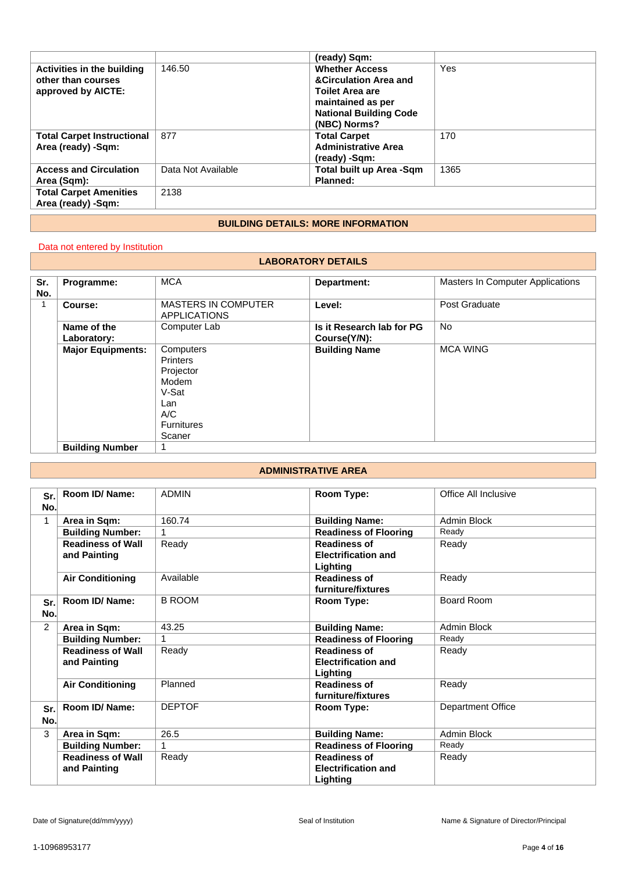|                                   |                    | (ready) Sqm:                              |      |
|-----------------------------------|--------------------|-------------------------------------------|------|
| Activities in the building        | 146.50             | <b>Whether Access</b>                     | Yes  |
| other than courses                |                    | <b>&amp;Circulation Area and</b>          |      |
| approved by AICTE:                |                    | <b>Toilet Area are</b>                    |      |
|                                   |                    | maintained as per                         |      |
|                                   |                    | <b>National Building Code</b>             |      |
|                                   |                    | (NBC) Norms?                              |      |
| <b>Total Carpet Instructional</b> | 877                | <b>Total Carpet</b>                       | 170  |
| Area (ready) -Sqm:                |                    | <b>Administrative Area</b>                |      |
|                                   |                    | (ready) -Sqm:                             |      |
| <b>Access and Circulation</b>     | Data Not Available | Total built up Area -Sqm                  | 1365 |
| Area (Sqm):                       |                    | Planned:                                  |      |
| <b>Total Carpet Amenities</b>     | 2138               |                                           |      |
| Area (ready) -Sqm:                |                    |                                           |      |
|                                   |                    |                                           |      |
|                                   |                    | <b>BUILDING DETAILS: MORE INFORMATION</b> |      |

#### **BUILDING DETAILS: MORE INFORMATION**

## Data not entered by Institution

#### **LABORATORY DETAILS**

| Sr. | Programme:               | <b>MCA</b>                                                                                               | Department:               | Masters In Computer Applications |
|-----|--------------------------|----------------------------------------------------------------------------------------------------------|---------------------------|----------------------------------|
| No. |                          |                                                                                                          |                           |                                  |
|     | Course:                  | <b>MASTERS IN COMPUTER</b>                                                                               | Level:                    | Post Graduate                    |
|     |                          | <b>APPLICATIONS</b>                                                                                      |                           |                                  |
|     | Name of the              | Computer Lab                                                                                             | Is it Research lab for PG | <b>No</b>                        |
|     | Laboratory:              |                                                                                                          | Course(Y/N):              |                                  |
|     | <b>Major Equipments:</b> | Computers<br><b>Printers</b><br>Projector<br>Modem<br>V-Sat<br>Lan<br>A/C<br><b>Furnitures</b><br>Scaner | <b>Building Name</b>      | <b>MCA WING</b>                  |
|     | <b>Building Number</b>   |                                                                                                          |                           |                                  |

## **ADMINISTRATIVE AREA**

| Sr.<br>No. | Room ID/Name:                            | <b>ADMIN</b>  | Room Type:                                                           | Office All Inclusive |
|------------|------------------------------------------|---------------|----------------------------------------------------------------------|----------------------|
| 1          | Area in Sqm:                             | 160.74        | <b>Building Name:</b>                                                | Admin Block          |
|            | <b>Building Number:</b>                  |               | <b>Readiness of Flooring</b>                                         | Ready                |
|            | <b>Readiness of Wall</b><br>and Painting | Ready         | <b>Readiness of</b><br><b>Electrification and</b><br><b>Lighting</b> | Ready                |
|            | <b>Air Conditioning</b>                  | Available     | <b>Readiness of</b><br>furniture/fixtures                            | Ready                |
| Sr.<br>No. | Room ID/ Name:                           | <b>B ROOM</b> | Room Type:                                                           | Board Room           |
| 2          | Area in Sqm:                             | 43.25         | <b>Building Name:</b>                                                | Admin Block          |
|            | <b>Building Number:</b>                  |               | <b>Readiness of Flooring</b>                                         | Ready                |
|            | <b>Readiness of Wall</b><br>and Painting | Ready         | <b>Readiness of</b><br><b>Electrification and</b><br>Lighting        | Ready                |
|            | <b>Air Conditioning</b>                  | Planned       | <b>Readiness of</b><br>furniture/fixtures                            | Ready                |
| Sr.<br>No. | Room ID/Name:                            | <b>DEPTOF</b> | Room Type:                                                           | Department Office    |
| 3          | Area in Sqm:                             | 26.5          | <b>Building Name:</b>                                                | <b>Admin Block</b>   |
|            | <b>Building Number:</b>                  |               | <b>Readiness of Flooring</b>                                         | Ready                |
|            | <b>Readiness of Wall</b><br>and Painting | Ready         | <b>Readiness of</b><br><b>Electrification and</b><br>Lighting        | Ready                |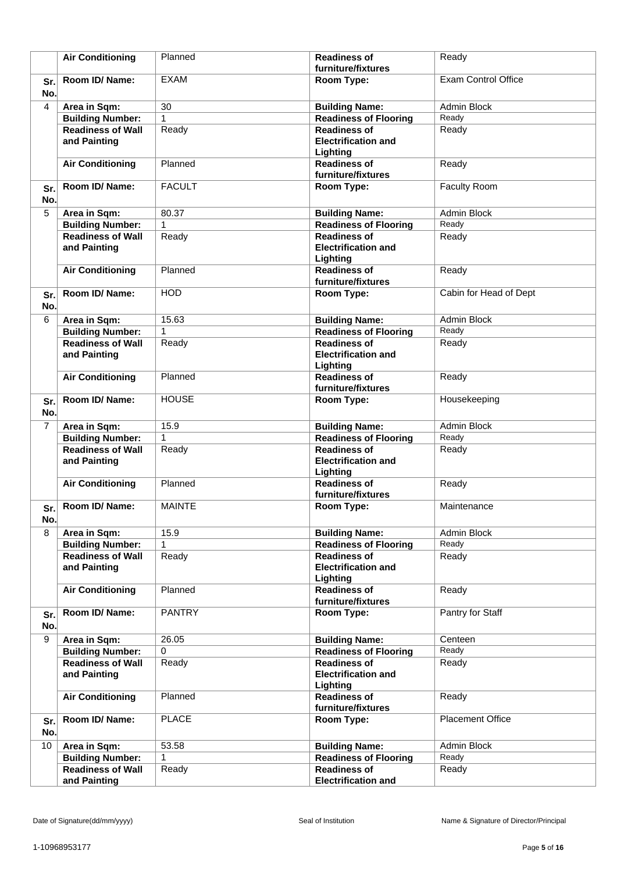|            | <b>Air Conditioning</b>                  | Planned       | <b>Readiness of</b><br>furniture/fixtures                     | Ready                      |
|------------|------------------------------------------|---------------|---------------------------------------------------------------|----------------------------|
| Sr.<br>No. | Room ID/Name:                            | <b>EXAM</b>   | Room Type:                                                    | <b>Exam Control Office</b> |
| 4          | Area in Sqm:                             | 30            | <b>Building Name:</b>                                         | Admin Block                |
|            | <b>Building Number:</b>                  | $\mathbf{1}$  | <b>Readiness of Flooring</b>                                  | Ready                      |
|            | <b>Readiness of Wall</b><br>and Painting | Ready         | <b>Readiness of</b><br><b>Electrification and</b><br>Lighting | Ready                      |
|            | <b>Air Conditioning</b>                  | Planned       | <b>Readiness of</b><br>furniture/fixtures                     | Ready                      |
| Sr.<br>No. | Room ID/Name:                            | <b>FACULT</b> | Room Type:                                                    | Faculty Room               |
| 5          | Area in Sqm:                             | 80.37         | <b>Building Name:</b>                                         | Admin Block                |
|            | <b>Building Number:</b>                  | 1             | <b>Readiness of Flooring</b>                                  | Ready                      |
|            | <b>Readiness of Wall</b><br>and Painting | Ready         | <b>Readiness of</b><br><b>Electrification and</b><br>Lighting | Ready                      |
|            | <b>Air Conditioning</b>                  | Planned       | <b>Readiness of</b><br>furniture/fixtures                     | Ready                      |
| Sr.<br>No. | Room ID/Name:                            | <b>HOD</b>    | Room Type:                                                    | Cabin for Head of Dept     |
| 6          | Area in Sqm:                             | 15.63         | <b>Building Name:</b>                                         | Admin Block                |
|            | <b>Building Number:</b>                  | 1             | <b>Readiness of Flooring</b>                                  | Ready                      |
|            | <b>Readiness of Wall</b><br>and Painting | Ready         | <b>Readiness of</b><br><b>Electrification and</b><br>Lighting | Ready                      |
|            | <b>Air Conditioning</b>                  | Planned       | <b>Readiness of</b><br>furniture/fixtures                     | Ready                      |
| Sr.<br>No. | Room ID/Name:                            | <b>HOUSE</b>  | Room Type:                                                    | Housekeeping               |
| 7          | Area in Sqm:                             | 15.9          | <b>Building Name:</b>                                         | Admin Block                |
|            | <b>Building Number:</b>                  | $\mathbf{1}$  | <b>Readiness of Flooring</b>                                  | Ready                      |
|            | <b>Readiness of Wall</b>                 | Ready         | <b>Readiness of</b><br><b>Electrification and</b>             | Ready                      |
|            | and Painting                             |               | Lighting                                                      |                            |
|            | <b>Air Conditioning</b>                  | Planned       | <b>Readiness of</b><br>furniture/fixtures                     | Ready                      |
| Sr.<br>No. | Room ID/ Name:                           | <b>MAINTE</b> | Room Type:                                                    | Maintenance                |
| 8          | Area in Sqm:                             | 15.9          | <b>Building Name:</b>                                         | Admin Block                |
|            | <b>Building Number:</b>                  | 1             | <b>Readiness of Flooring</b>                                  | Ready                      |
|            | <b>Readiness of Wall</b><br>and Painting | Ready         | <b>Readiness of</b><br><b>Electrification and</b><br>Lighting | Ready                      |
|            | <b>Air Conditioning</b>                  | Planned       | <b>Readiness of</b><br>furniture/fixtures                     | Ready                      |
| Sr.<br>No. | Room ID/ Name:                           | <b>PANTRY</b> | Room Type:                                                    | Pantry for Staff           |
| 9          | Area in Sqm:                             | 26.05         | <b>Building Name:</b>                                         | Centeen                    |
|            | <b>Building Number:</b>                  | $\Omega$      | <b>Readiness of Flooring</b>                                  | Ready                      |
|            | <b>Readiness of Wall</b><br>and Painting | Ready         | <b>Readiness of</b><br><b>Electrification and</b><br>Lighting | Ready                      |
|            | <b>Air Conditioning</b>                  | Planned       | <b>Readiness of</b><br>furniture/fixtures                     | Ready                      |
| Sr.<br>No. | Room ID/Name:                            | <b>PLACE</b>  | Room Type:                                                    | <b>Placement Office</b>    |
| 10         |                                          | 53.58         |                                                               | Admin Block                |
|            | Area in Sqm:<br><b>Building Number:</b>  | 1             | <b>Building Name:</b><br><b>Readiness of Flooring</b>         | Ready                      |
|            | <b>Readiness of Wall</b><br>and Painting | Ready         | <b>Readiness of</b><br><b>Electrification and</b>             | Ready                      |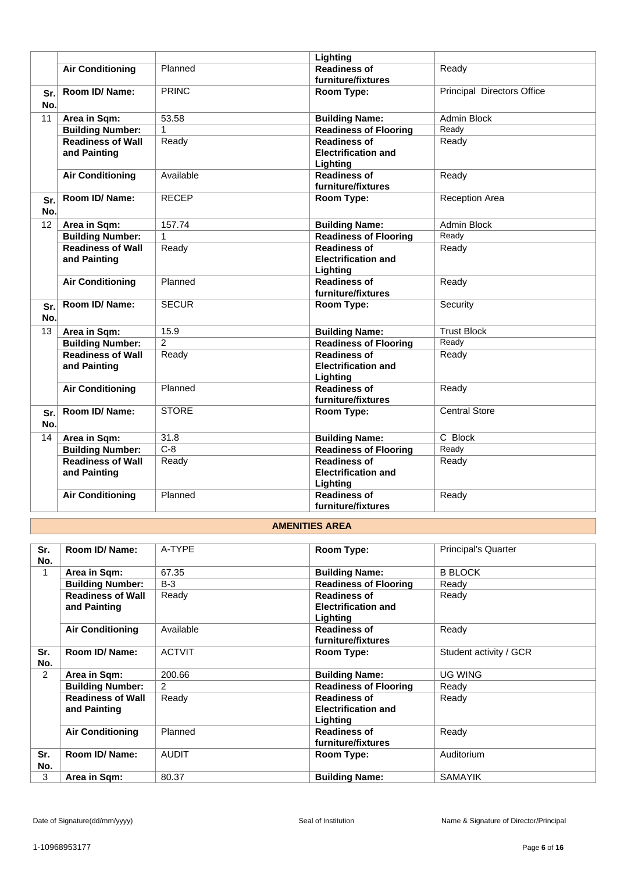|            |                                          |                | Lighting                                                      |                                   |
|------------|------------------------------------------|----------------|---------------------------------------------------------------|-----------------------------------|
|            | <b>Air Conditioning</b>                  | Planned        | <b>Readiness of</b>                                           | Ready                             |
|            |                                          |                | furniture/fixtures                                            |                                   |
| Sr.<br>No. | Room ID/Name:                            | <b>PRINC</b>   | Room Type:                                                    | <b>Principal Directors Office</b> |
| 11         | Area in Sqm:                             | 53.58          | <b>Building Name:</b>                                         | <b>Admin Block</b>                |
|            | <b>Building Number:</b>                  | $\mathbf{1}$   | <b>Readiness of Flooring</b>                                  | Ready                             |
|            | <b>Readiness of Wall</b><br>and Painting | Ready          | <b>Readiness of</b><br><b>Electrification and</b><br>Lighting | Ready                             |
|            | <b>Air Conditioning</b>                  | Available      | <b>Readiness of</b><br>furniture/fixtures                     | Ready                             |
| Sr.<br>No. | Room ID/Name:                            | <b>RECEP</b>   | Room Type:                                                    | <b>Reception Area</b>             |
| 12         | Area in Sqm:                             | 157.74         | <b>Building Name:</b>                                         | Admin Block                       |
|            | <b>Building Number:</b>                  | $\mathbf{1}$   | <b>Readiness of Flooring</b>                                  | Ready                             |
|            | <b>Readiness of Wall</b><br>and Painting | Ready          | <b>Readiness of</b><br><b>Electrification and</b><br>Lighting | Ready                             |
|            | <b>Air Conditioning</b>                  | Planned        | <b>Readiness of</b><br>furniture/fixtures                     | Ready                             |
| Sr.<br>No. | Room ID/ Name:                           | <b>SECUR</b>   | Room Type:                                                    | Security                          |
| 13         | Area in Sqm:                             | 15.9           | <b>Building Name:</b>                                         | <b>Trust Block</b>                |
|            | <b>Building Number:</b>                  | $\overline{c}$ | <b>Readiness of Flooring</b>                                  | Ready                             |
|            | <b>Readiness of Wall</b><br>and Painting | Ready          | <b>Readiness of</b><br><b>Electrification and</b><br>Lighting | Ready                             |
|            | <b>Air Conditioning</b>                  | Planned        | <b>Readiness of</b><br>furniture/fixtures                     | Ready                             |
| Sr.<br>No. | Room ID/Name:                            | <b>STORE</b>   | Room Type:                                                    | <b>Central Store</b>              |
| 14         | Area in Sqm:                             | 31.8           | <b>Building Name:</b>                                         | C Block                           |
|            | <b>Building Number:</b>                  | $C-8$          | <b>Readiness of Flooring</b>                                  | Ready                             |
|            | <b>Readiness of Wall</b><br>and Painting | Ready          | <b>Readiness of</b><br><b>Electrification and</b><br>Lighting | Ready                             |
|            | <b>Air Conditioning</b>                  | Planned        | <b>Readiness of</b><br>furniture/fixtures                     | Ready                             |

#### **AMENITIES AREA**

| Sr. | Room ID/Name:            | A-TYPE        | Room Type:                   | <b>Principal's Quarter</b> |
|-----|--------------------------|---------------|------------------------------|----------------------------|
| No. |                          |               |                              |                            |
| 1   | Area in Sqm:             | 67.35         | <b>Building Name:</b>        | <b>B BLOCK</b>             |
|     | <b>Building Number:</b>  | $B-3$         | <b>Readiness of Flooring</b> | Ready                      |
|     | <b>Readiness of Wall</b> | Ready         | <b>Readiness of</b>          | Ready                      |
|     | and Painting             |               | <b>Electrification and</b>   |                            |
|     |                          |               | Lighting                     |                            |
|     | <b>Air Conditioning</b>  | Available     | <b>Readiness of</b>          | Ready                      |
|     |                          |               | furniture/fixtures           |                            |
| Sr. | Room ID/ Name:           | <b>ACTVIT</b> | Room Type:                   | Student activity / GCR     |
| No. |                          |               |                              |                            |
| 2   | Area in Sqm:             | 200.66        | <b>Building Name:</b>        | <b>UG WING</b>             |
|     | <b>Building Number:</b>  | $\mathcal{P}$ | <b>Readiness of Flooring</b> | Ready                      |
|     | <b>Readiness of Wall</b> | Ready         | <b>Readiness of</b>          | Ready                      |
|     | and Painting             |               | <b>Electrification and</b>   |                            |
|     |                          |               | Lighting                     |                            |
|     | <b>Air Conditioning</b>  | Planned       | <b>Readiness of</b>          | Ready                      |
|     |                          |               | furniture/fixtures           |                            |
| Sr. | Room ID/ Name:           | <b>AUDIT</b>  | Room Type:                   | Auditorium                 |
| No. |                          |               |                              |                            |
| 3   | Area in Sqm:             | 80.37         | <b>Building Name:</b>        | <b>SAMAYIK</b>             |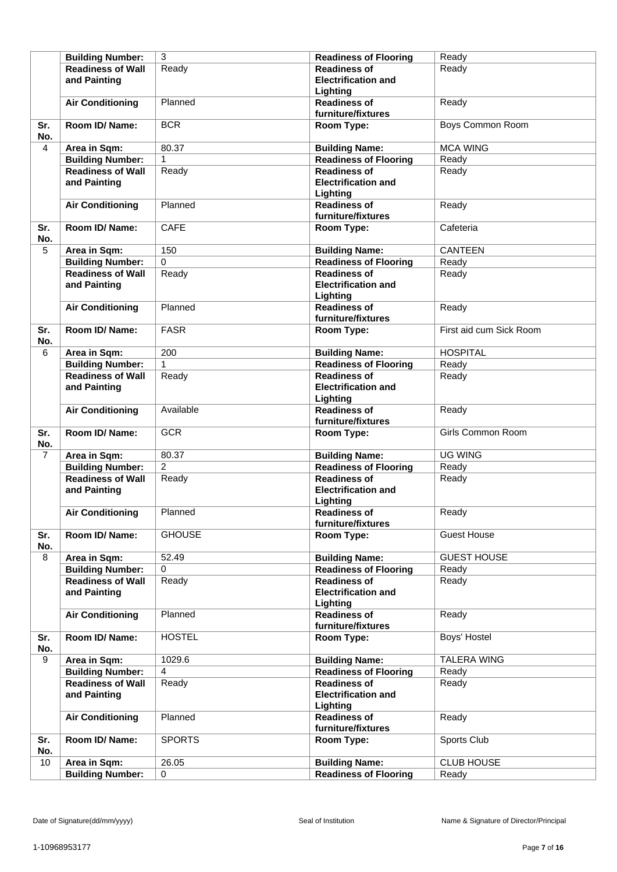|                | <b>Building Number:</b>  | 3              | <b>Readiness of Flooring</b> | Ready                   |
|----------------|--------------------------|----------------|------------------------------|-------------------------|
|                | <b>Readiness of Wall</b> | Ready          | <b>Readiness of</b>          | Ready                   |
|                | and Painting             |                | <b>Electrification and</b>   |                         |
|                |                          |                | Lighting                     |                         |
|                | <b>Air Conditioning</b>  | Planned        | <b>Readiness of</b>          | Ready                   |
|                |                          |                | furniture/fixtures           |                         |
| Sr.            | Room ID/ Name:           | <b>BCR</b>     | Room Type:                   | <b>Boys Common Room</b> |
| No.            |                          |                |                              |                         |
| 4              | Area in Sqm:             | 80.37          | <b>Building Name:</b>        | <b>MCA WING</b>         |
|                | <b>Building Number:</b>  | 1              | <b>Readiness of Flooring</b> | Ready                   |
|                | <b>Readiness of Wall</b> | Ready          | <b>Readiness of</b>          | Ready                   |
|                | and Painting             |                | <b>Electrification and</b>   |                         |
|                |                          |                | Lighting                     |                         |
|                |                          | Planned        | <b>Readiness of</b>          | Ready                   |
|                | <b>Air Conditioning</b>  |                | furniture/fixtures           |                         |
|                | Room ID/Name:            |                |                              |                         |
| Sr.            |                          | <b>CAFE</b>    | Room Type:                   | Cafeteria               |
| No.            |                          |                |                              |                         |
| 5              | Area in Sqm:             | 150            | <b>Building Name:</b>        | <b>CANTEEN</b>          |
|                | <b>Building Number:</b>  | 0              | <b>Readiness of Flooring</b> | Ready                   |
|                | <b>Readiness of Wall</b> | Ready          | <b>Readiness of</b>          | Ready                   |
|                | and Painting             |                | <b>Electrification and</b>   |                         |
|                |                          |                | Lighting                     |                         |
|                | <b>Air Conditioning</b>  | Planned        | <b>Readiness of</b>          | Ready                   |
|                |                          |                | furniture/fixtures           |                         |
| Sr.            | Room ID/ Name:           | <b>FASR</b>    | Room Type:                   | First aid cum Sick Room |
| No.            |                          |                |                              |                         |
| 6              | Area in Sqm:             | 200            | <b>Building Name:</b>        | <b>HOSPITAL</b>         |
|                | <b>Building Number:</b>  | $\mathbf{1}$   | <b>Readiness of Flooring</b> | Ready                   |
|                | <b>Readiness of Wall</b> | Ready          | <b>Readiness of</b>          | Ready                   |
|                | and Painting             |                | <b>Electrification and</b>   |                         |
|                |                          |                | Lighting                     |                         |
|                | <b>Air Conditioning</b>  | Available      | <b>Readiness of</b>          | Ready                   |
|                |                          |                | furniture/fixtures           |                         |
| Sr.            | Room ID/ Name:           | <b>GCR</b>     | Room Type:                   | Girls Common Room       |
| No.            |                          |                |                              |                         |
| $\overline{7}$ | Area in Sqm:             | 80.37          | <b>Building Name:</b>        | <b>UG WING</b>          |
|                | <b>Building Number:</b>  | $\overline{2}$ | <b>Readiness of Flooring</b> | Ready                   |
|                | <b>Readiness of Wall</b> | Ready          | <b>Readiness of</b>          | Ready                   |
|                | and Painting             |                | <b>Electrification and</b>   |                         |
|                |                          |                | Lighting                     |                         |
|                | <b>Air Conditioning</b>  | Planned        | <b>Readiness of</b>          | Ready                   |
|                |                          |                | furniture/fixtures           |                         |
| Sr.            | Room ID/ Name:           | <b>GHOUSE</b>  | Room Type:                   | <b>Guest House</b>      |
| No.            |                          |                |                              |                         |
| 8              | Area in Sqm:             | 52.49          | <b>Building Name:</b>        | <b>GUEST HOUSE</b>      |
|                | <b>Building Number:</b>  | $\Omega$       | <b>Readiness of Flooring</b> | Ready                   |
|                | <b>Readiness of Wall</b> | Ready          | <b>Readiness of</b>          | Ready                   |
|                | and Painting             |                | <b>Electrification and</b>   |                         |
|                |                          |                | Lighting                     |                         |
|                | <b>Air Conditioning</b>  | Planned        | <b>Readiness of</b>          | Ready                   |
|                |                          |                | furniture/fixtures           |                         |
| Sr.            | Room ID/ Name:           | <b>HOSTEL</b>  | Room Type:                   | Boys' Hostel            |
| No.            |                          |                |                              |                         |
| 9              | Area in Sqm:             | 1029.6         | <b>Building Name:</b>        | <b>TALERA WING</b>      |
|                | <b>Building Number:</b>  | 4              | <b>Readiness of Flooring</b> | Ready                   |
|                | <b>Readiness of Wall</b> | Ready          | <b>Readiness of</b>          | Ready                   |
|                | and Painting             |                | <b>Electrification and</b>   |                         |
|                |                          |                | Lighting                     |                         |
|                | <b>Air Conditioning</b>  | Planned        | <b>Readiness of</b>          | Ready                   |
|                |                          |                | furniture/fixtures           |                         |
| Sr.            | Room ID/ Name:           | <b>SPORTS</b>  | Room Type:                   | Sports Club             |
| No.            |                          |                |                              |                         |
| 10             | Area in Sqm:             | 26.05          | <b>Building Name:</b>        | <b>CLUB HOUSE</b>       |
|                | <b>Building Number:</b>  | 0              | Readiness of Flooring        | Ready                   |
|                |                          |                |                              |                         |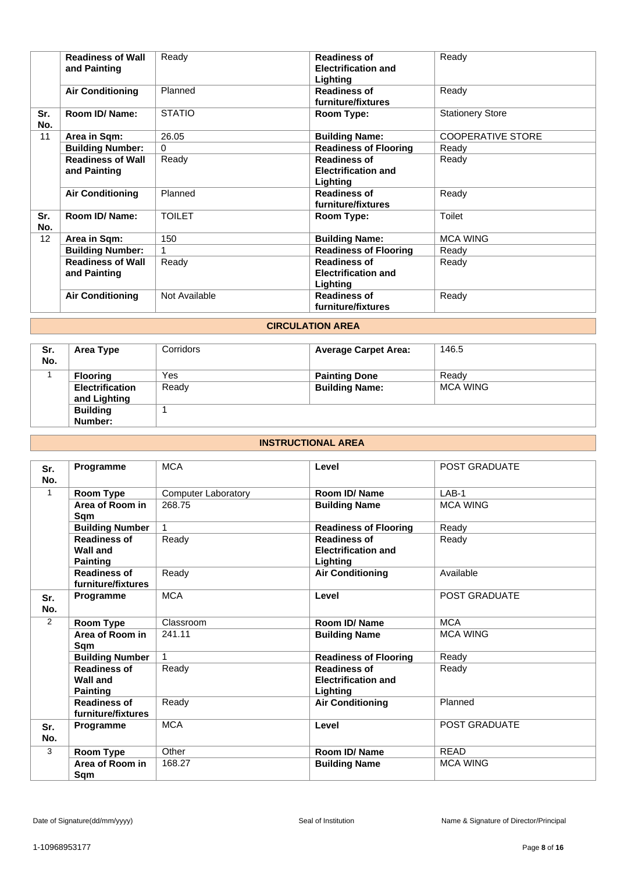|            | <b>Readiness of Wall</b><br>and Painting | Ready         | <b>Readiness of</b><br><b>Electrification and</b><br>Lighting | Ready                    |
|------------|------------------------------------------|---------------|---------------------------------------------------------------|--------------------------|
|            | <b>Air Conditioning</b>                  | Planned       | <b>Readiness of</b><br>furniture/fixtures                     | Ready                    |
| Sr.<br>No. | Room ID/ Name:                           | <b>STATIO</b> | Room Type:                                                    | <b>Stationery Store</b>  |
| 11         | Area in Sqm:                             | 26.05         | <b>Building Name:</b>                                         | <b>COOPERATIVE STORE</b> |
|            | <b>Building Number:</b>                  | $\Omega$      | <b>Readiness of Flooring</b>                                  | Ready                    |
|            | <b>Readiness of Wall</b><br>and Painting | Ready         | <b>Readiness of</b><br><b>Electrification and</b><br>Lighting | Ready                    |
|            | <b>Air Conditioning</b>                  | Planned       | <b>Readiness of</b><br>furniture/fixtures                     | Ready                    |
| Sr.<br>No. | Room ID/ Name:                           | <b>TOILET</b> | Room Type:                                                    | Toilet                   |
| 12         | Area in Sqm:                             | 150           | <b>Building Name:</b>                                         | <b>MCA WING</b>          |
|            | <b>Building Number:</b>                  |               | <b>Readiness of Flooring</b>                                  | Ready                    |
|            | <b>Readiness of Wall</b><br>and Painting | Ready         | <b>Readiness of</b><br><b>Electrification and</b><br>Lighting | Ready                    |
|            | <b>Air Conditioning</b>                  | Not Available | <b>Readiness of</b><br>furniture/fixtures                     | Ready                    |

## **CIRCULATION AREA**

| Sr.<br>No. | Area Type              | Corridors | <b>Average Carpet Area:</b> | 146.5           |
|------------|------------------------|-----------|-----------------------------|-----------------|
|            | <b>Flooring</b>        | Yes       | <b>Painting Done</b>        | Ready           |
|            | <b>Electrification</b> | Ready     | <b>Building Name:</b>       | <b>MCA WING</b> |
|            | and Lighting           |           |                             |                 |
|            | <b>Building</b>        |           |                             |                 |
|            | Number:                |           |                             |                 |

## **INSTRUCTIONAL AREA**

| Sr.<br>No.   | Programme                                          | <b>MCA</b>                 | Level                                                         | POST GRADUATE        |
|--------------|----------------------------------------------------|----------------------------|---------------------------------------------------------------|----------------------|
| $\mathbf{1}$ | Room Type                                          | <b>Computer Laboratory</b> | Room ID/Name                                                  | $LAB-1$              |
|              | Area of Room in<br>Sqm                             | 268.75                     | <b>Building Name</b>                                          | <b>MCA WING</b>      |
|              | <b>Building Number</b>                             |                            | <b>Readiness of Flooring</b>                                  | Ready                |
|              | <b>Readiness of</b><br>Wall and<br><b>Painting</b> | Ready                      | <b>Readiness of</b><br><b>Electrification and</b><br>Lighting | Ready                |
|              | <b>Readiness of</b><br>furniture/fixtures          | Ready                      | <b>Air Conditioning</b>                                       | Available            |
| Sr.<br>No.   | Programme                                          | <b>MCA</b>                 | Level                                                         | POST GRADUATE        |
| 2            | Room Type                                          | Classroom                  | Room ID/Name                                                  | <b>MCA</b>           |
|              | Area of Room in<br>Sam                             | 241.11                     | <b>Building Name</b>                                          | <b>MCA WING</b>      |
|              | <b>Building Number</b>                             | $\mathbf{1}$               | <b>Readiness of Flooring</b>                                  | Ready                |
|              | <b>Readiness of</b><br>Wall and<br><b>Painting</b> | Ready                      | <b>Readiness of</b><br><b>Electrification and</b><br>Lighting | Ready                |
|              | <b>Readiness of</b><br>furniture/fixtures          | Ready                      | <b>Air Conditioning</b>                                       | Planned              |
| Sr.<br>No.   | Programme                                          | <b>MCA</b>                 | Level                                                         | <b>POST GRADUATE</b> |
| 3            | Room Type                                          | Other                      | Room ID/Name                                                  | <b>READ</b>          |
|              | Area of Room in<br>Sqm                             | 168.27                     | <b>Building Name</b>                                          | <b>MCA WING</b>      |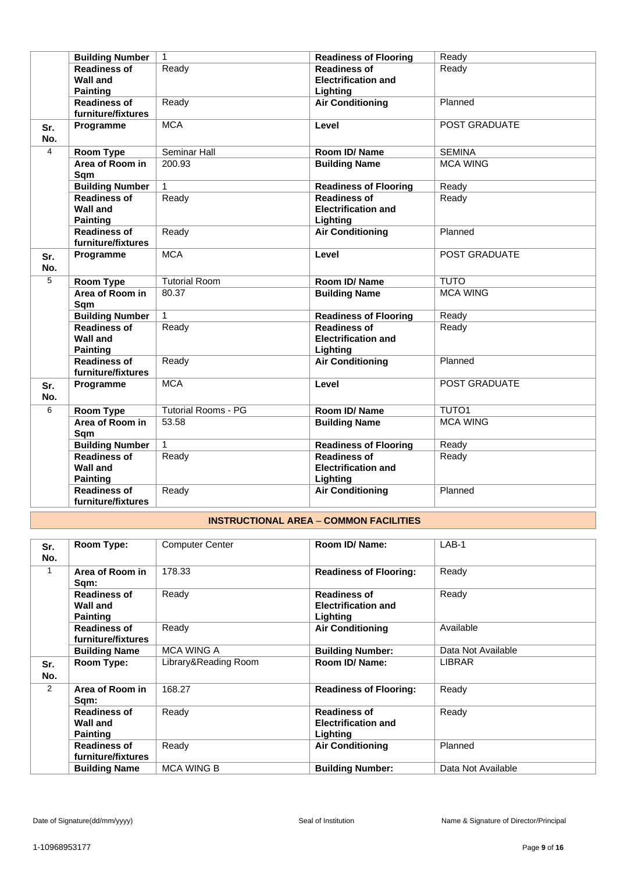|                | <b>Building Number</b> | $\mathbf{1}$               | <b>Readiness of Flooring</b> | Ready                |
|----------------|------------------------|----------------------------|------------------------------|----------------------|
|                | <b>Readiness of</b>    | Ready                      | <b>Readiness of</b>          | Ready                |
|                | <b>Wall and</b>        |                            | <b>Electrification and</b>   |                      |
|                | <b>Painting</b>        |                            | Lighting                     |                      |
|                | <b>Readiness of</b>    | Ready                      | <b>Air Conditioning</b>      | Planned              |
|                | furniture/fixtures     |                            |                              |                      |
| Sr.            | Programme              | <b>MCA</b>                 | Level                        | <b>POST GRADUATE</b> |
| No.            |                        |                            |                              |                      |
| $\overline{4}$ | Room Type              | Seminar Hall               | Room ID/Name                 | <b>SEMINA</b>        |
|                | Area of Room in        | 200.93                     | <b>Building Name</b>         | <b>MCA WING</b>      |
|                | Sqm                    |                            |                              |                      |
|                | <b>Building Number</b> | $\mathbf{1}$               | <b>Readiness of Flooring</b> | Ready                |
|                | <b>Readiness of</b>    | Ready                      | <b>Readiness of</b>          | Ready                |
|                | <b>Wall and</b>        |                            | <b>Electrification and</b>   |                      |
|                | <b>Painting</b>        |                            | Lighting                     |                      |
|                | <b>Readiness of</b>    | Ready                      | <b>Air Conditioning</b>      | Planned              |
|                | furniture/fixtures     |                            |                              |                      |
| Sr.            | Programme              | <b>MCA</b>                 | Level                        | POST GRADUATE        |
| No.            |                        |                            |                              |                      |
| 5              | <b>Room Type</b>       | <b>Tutorial Room</b>       | Room ID/Name                 | <b>TUTO</b>          |
|                | Area of Room in        | 80.37                      | <b>Building Name</b>         | <b>MCA WING</b>      |
|                | Sqm                    |                            |                              |                      |
|                | <b>Building Number</b> | $\mathbf{1}$               | <b>Readiness of Flooring</b> | Ready                |
|                | <b>Readiness of</b>    | Ready                      | <b>Readiness of</b>          | Ready                |
|                | <b>Wall and</b>        |                            | <b>Electrification and</b>   |                      |
|                | <b>Painting</b>        |                            | Lighting                     |                      |
|                | <b>Readiness of</b>    | Ready                      | <b>Air Conditioning</b>      | Planned              |
|                | furniture/fixtures     |                            |                              |                      |
| Sr.            | Programme              | <b>MCA</b>                 | Level                        | POST GRADUATE        |
| No.            |                        |                            |                              |                      |
| 6              | Room Type              | <b>Tutorial Rooms - PG</b> | Room ID/Name                 | <b>TUTO1</b>         |
|                | Area of Room in        | 53.58                      | <b>Building Name</b>         | <b>MCA WING</b>      |
|                | Sqm                    |                            |                              |                      |
|                | <b>Building Number</b> | $\mathbf{1}$               | <b>Readiness of Flooring</b> | Ready                |
|                | <b>Readiness of</b>    | Ready                      | <b>Readiness of</b>          | Ready                |
|                | <b>Wall and</b>        |                            | <b>Electrification and</b>   |                      |
|                | <b>Painting</b>        |                            | Lighting                     |                      |
|                | <b>Readiness of</b>    | Ready                      | <b>Air Conditioning</b>      | Planned              |
|                | furniture/fixtures     |                            |                              |                      |
|                |                        |                            |                              |                      |

## **INSTRUCTIONAL AREA** – **COMMON FACILITIES**

| Sr.<br>No.   | Room Type:                                                | <b>Computer Center</b> | Room ID/ Name:                                                | $LAB-1$            |
|--------------|-----------------------------------------------------------|------------------------|---------------------------------------------------------------|--------------------|
| $\mathbf{1}$ | Area of Room in<br>Sqm:                                   | 178.33                 | <b>Readiness of Flooring:</b>                                 | Ready              |
|              | <b>Readiness of</b><br><b>Wall and</b><br><b>Painting</b> | Ready                  | <b>Readiness of</b><br><b>Electrification and</b><br>Lighting | Ready              |
|              | <b>Readiness of</b><br>furniture/fixtures                 | Ready                  | <b>Air Conditioning</b>                                       | Available          |
|              | <b>Building Name</b>                                      | <b>MCA WING A</b>      | <b>Building Number:</b>                                       | Data Not Available |
| Sr.<br>No.   | Room Type:                                                | Library&Reading Room   | Room ID/ Name:                                                | <b>LIBRAR</b>      |
| 2            | Area of Room in<br>Sqm:                                   | 168.27                 | <b>Readiness of Flooring:</b>                                 | Ready              |
|              | <b>Readiness of</b><br><b>Wall and</b><br><b>Painting</b> | Ready                  | <b>Readiness of</b><br><b>Electrification and</b><br>Lighting | Ready              |
|              | <b>Readiness of</b><br>furniture/fixtures                 | Ready                  | <b>Air Conditioning</b>                                       | Planned            |
|              | <b>Building Name</b>                                      | <b>MCA WING B</b>      | <b>Building Number:</b>                                       | Data Not Available |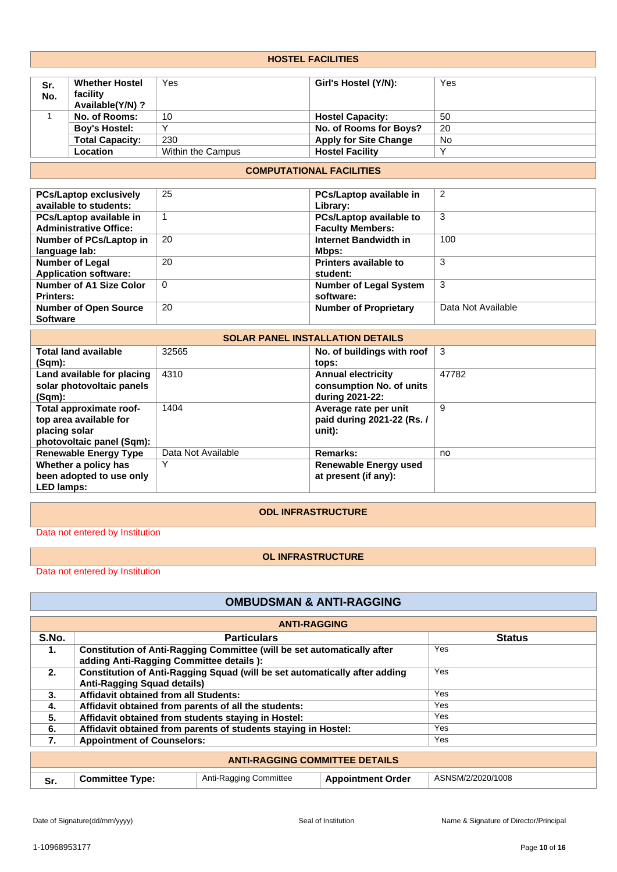| <b>HOSTEL FACILITIES</b> |                                                                                |                    |                                                                          |                    |
|--------------------------|--------------------------------------------------------------------------------|--------------------|--------------------------------------------------------------------------|--------------------|
| Sr.<br>No.               | <b>Whether Hostel</b><br>facility<br>Available(Y/N) ?                          | Yes                | Girl's Hostel (Y/N):                                                     | Yes                |
| $\mathbf{1}$             | No. of Rooms:                                                                  | 10                 | <b>Hostel Capacity:</b>                                                  | 50                 |
|                          | <b>Boy's Hostel:</b>                                                           | Y                  | No. of Rooms for Boys?                                                   | 20                 |
|                          | <b>Total Capacity:</b>                                                         | 230                | <b>Apply for Site Change</b>                                             | No                 |
|                          | Location                                                                       | Within the Campus  | <b>Hostel Facility</b>                                                   | Y                  |
|                          |                                                                                |                    | <b>COMPUTATIONAL FACILITIES</b>                                          |                    |
|                          |                                                                                |                    |                                                                          |                    |
|                          | <b>PCs/Laptop exclusively</b><br>available to students:                        | 25                 | PCs/Laptop available in<br>Library:                                      | 2                  |
|                          | PCs/Laptop available in<br><b>Administrative Office:</b>                       | $\mathbf{1}$       | PCs/Laptop available to<br><b>Faculty Members:</b>                       | 3                  |
| language lab:            | Number of PCs/Laptop in                                                        | 20                 | <b>Internet Bandwidth in</b><br>Mbps:                                    | 100                |
|                          | <b>Number of Legal</b><br><b>Application software:</b>                         | 20                 | Printers available to<br>student:                                        | 3                  |
| <b>Printers:</b>         | Number of A1 Size Color                                                        | $\Omega$           | <b>Number of Legal System</b><br>software:                               | 3                  |
| <b>Software</b>          | <b>Number of Open Source</b>                                                   | 20                 | <b>Number of Proprietary</b>                                             | Data Not Available |
|                          |                                                                                |                    | <b>SOLAR PANEL INSTALLATION DETAILS</b>                                  |                    |
| $(Sqm)$ :                | <b>Total land available</b>                                                    | 32565              | No. of buildings with roof<br>tops:                                      | 3                  |
| $(Sqm)$ :                | Land available for placing<br>solar photovoltaic panels                        | 4310               | <b>Annual electricity</b><br>consumption No. of units<br>during 2021-22: | 47782              |
| placing solar            | Total approximate roof-<br>top area available for<br>photovoltaic panel (Sqm): | 1404               | Average rate per unit<br>paid during 2021-22 (Rs. /<br>unit):            | 9                  |
|                          | <b>Renewable Energy Type</b>                                                   | Data Not Available | Remarks:                                                                 | no                 |
|                          | Whether a policy has                                                           | Y                  | <b>Renewable Energy used</b>                                             |                    |

# **ODL INFRASTRUCTURE**

**at present (if any):**

Data not entered by Institution

**been adopted to use only**

**LED lamps:**

# **OL INFRASTRUCTURE**

Data not entered by Institution

# **OMBUDSMAN & ANTI-RAGGING**

|                                       | <b>ANTI-RAGGING</b>                                                                                                        |                                                                |                          |                   |  |
|---------------------------------------|----------------------------------------------------------------------------------------------------------------------------|----------------------------------------------------------------|--------------------------|-------------------|--|
| S.No.                                 |                                                                                                                            | <b>Particulars</b>                                             |                          | <b>Status</b>     |  |
| 1.                                    | <b>Constitution of Anti-Ragging Committee (will be set automatically after</b><br>adding Anti-Ragging Committee details ): |                                                                |                          | Yes               |  |
| 2.                                    | Constitution of Anti-Ragging Squad (will be set automatically after adding<br><b>Anti-Ragging Squad details)</b>           |                                                                |                          | Yes               |  |
| 3.                                    | Affidavit obtained from all Students:                                                                                      |                                                                |                          | Yes               |  |
| 4.                                    | Affidavit obtained from parents of all the students:                                                                       |                                                                |                          | Yes               |  |
| 5.                                    | Affidavit obtained from students staying in Hostel:                                                                        |                                                                |                          | Yes               |  |
| 6.                                    |                                                                                                                            | Affidavit obtained from parents of students staying in Hostel: |                          | Yes               |  |
| 7.                                    | <b>Appointment of Counselors:</b>                                                                                          |                                                                |                          | Yes               |  |
| <b>ANTI-RAGGING COMMITTEE DETAILS</b> |                                                                                                                            |                                                                |                          |                   |  |
| Sr.                                   | <b>Committee Type:</b>                                                                                                     | Anti-Ragging Committee                                         | <b>Appointment Order</b> | ASNSM/2/2020/1008 |  |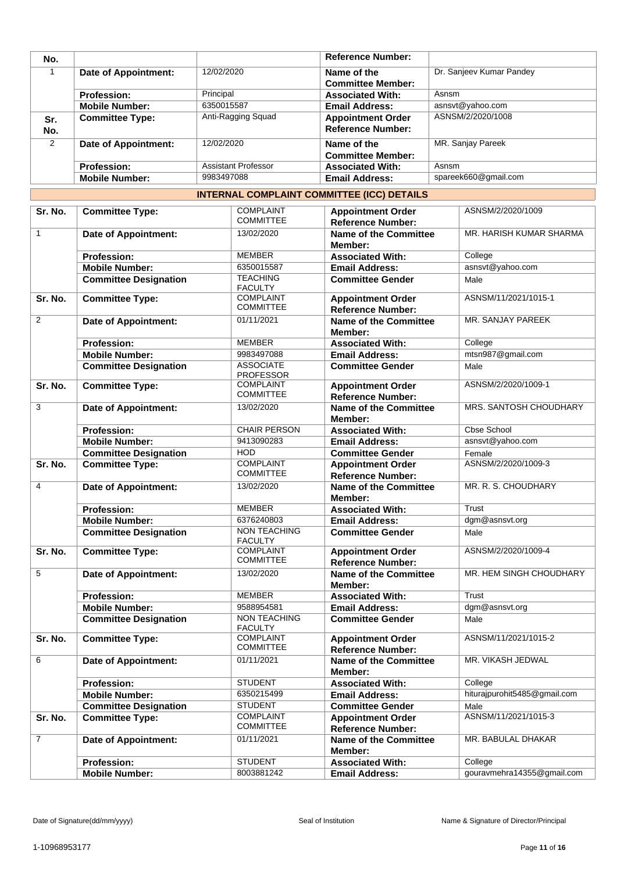| No.        |                        |                     | <b>Reference Number:</b>                             |                          |
|------------|------------------------|---------------------|------------------------------------------------------|--------------------------|
|            | Date of Appointment:   | 12/02/2020          | Name of the<br><b>Committee Member:</b>              | Dr. Sanjeev Kumar Pandey |
|            | <b>Profession:</b>     | Principal           | <b>Associated With:</b>                              | Asnsm                    |
|            | <b>Mobile Number:</b>  | 6350015587          | <b>Email Address:</b>                                | asnsvt@yahoo.com         |
| Sr.<br>No. | <b>Committee Type:</b> | Anti-Ragging Squad  | <b>Appointment Order</b><br><b>Reference Number:</b> | ASNSM/2/2020/1008        |
| 2          | Date of Appointment:   | 12/02/2020          | Name of the<br><b>Committee Member:</b>              | MR. Sanjay Pareek        |
|            | <b>Profession:</b>     | Assistant Professor | <b>Associated With:</b>                              | Asnsm                    |
|            | <b>Mobile Number:</b>  | 9983497088          | <b>Email Address:</b>                                | spareek660@gmail.com     |

## **INTERNAL COMPLAINT COMMITTEE (ICC) DETAILS**

| Sr. No.        | <b>Committee Type:</b>       | <b>COMPLAINT</b>                      | <b>Appointment Order</b>                             | ASNSM/2/2020/1009            |
|----------------|------------------------------|---------------------------------------|------------------------------------------------------|------------------------------|
|                |                              | <b>COMMITTEE</b>                      | <b>Reference Number:</b>                             |                              |
| $\mathbf{1}$   | <b>Date of Appointment:</b>  | 13/02/2020                            | <b>Name of the Committee</b><br>Member:              | MR. HARISH KUMAR SHARMA      |
|                | <b>Profession:</b>           | <b>MEMBER</b>                         | <b>Associated With:</b>                              | College                      |
|                | <b>Mobile Number:</b>        | 6350015587                            | <b>Email Address:</b>                                | asnsvt@yahoo.com             |
|                | <b>Committee Designation</b> | <b>TEACHING</b><br><b>FACULTY</b>     | <b>Committee Gender</b>                              | Male                         |
| Sr. No.        | <b>Committee Type:</b>       | <b>COMPLAINT</b><br><b>COMMITTEE</b>  | <b>Appointment Order</b><br><b>Reference Number:</b> | ASNSM/11/2021/1015-1         |
| 2              | <b>Date of Appointment:</b>  | 01/11/2021                            | <b>Name of the Committee</b><br>Member:              | MR. SANJAY PAREEK            |
|                | <b>Profession:</b>           | <b>MEMBER</b>                         | <b>Associated With:</b>                              | College                      |
|                | <b>Mobile Number:</b>        | 9983497088                            | <b>Email Address:</b>                                | mtsn987@gmail.com            |
|                | <b>Committee Designation</b> | <b>ASSOCIATE</b><br><b>PROFESSOR</b>  | <b>Committee Gender</b>                              | Male                         |
| Sr. No.        | <b>Committee Type:</b>       | <b>COMPLAINT</b><br><b>COMMITTEE</b>  | <b>Appointment Order</b><br><b>Reference Number:</b> | ASNSM/2/2020/1009-1          |
| 3              | <b>Date of Appointment:</b>  | 13/02/2020                            | <b>Name of the Committee</b><br>Member:              | MRS. SANTOSH CHOUDHARY       |
|                | <b>Profession:</b>           | <b>CHAIR PERSON</b>                   | <b>Associated With:</b>                              | <b>Cbse School</b>           |
|                | <b>Mobile Number:</b>        | 9413090283                            | <b>Email Address:</b>                                | asnsvt@yahoo.com             |
|                | <b>Committee Designation</b> | <b>HOD</b>                            | <b>Committee Gender</b>                              | Female                       |
| Sr. No.        | <b>Committee Type:</b>       | <b>COMPLAINT</b><br><b>COMMITTEE</b>  | <b>Appointment Order</b><br><b>Reference Number:</b> | ASNSM/2/2020/1009-3          |
| 4              | <b>Date of Appointment:</b>  | 13/02/2020                            | <b>Name of the Committee</b><br>Member:              | MR. R. S. CHOUDHARY          |
|                | <b>Profession:</b>           | <b>MEMBER</b>                         | <b>Associated With:</b>                              | Trust                        |
|                | <b>Mobile Number:</b>        | 6376240803                            | <b>Email Address:</b>                                | dgm@asnsvt.org               |
|                | <b>Committee Designation</b> | <b>NON TEACHING</b><br><b>FACULTY</b> | <b>Committee Gender</b>                              | Male                         |
| Sr. No.        | <b>Committee Type:</b>       | <b>COMPLAINT</b><br><b>COMMITTEE</b>  | <b>Appointment Order</b><br><b>Reference Number:</b> | ASNSM/2/2020/1009-4          |
| 5              | Date of Appointment:         | 13/02/2020                            | <b>Name of the Committee</b><br>Member:              | MR. HEM SINGH CHOUDHARY      |
|                | <b>Profession:</b>           | <b>MEMBER</b>                         | <b>Associated With:</b>                              | Trust                        |
|                | <b>Mobile Number:</b>        | 9588954581                            | <b>Email Address:</b>                                | dgm@asnsvt.org               |
|                | <b>Committee Designation</b> | <b>NON TEACHING</b><br><b>FACULTY</b> | <b>Committee Gender</b>                              | Male                         |
| Sr. No.        | <b>Committee Type:</b>       | <b>COMPLAINT</b><br><b>COMMITTEE</b>  | <b>Appointment Order</b><br><b>Reference Number:</b> | ASNSM/11/2021/1015-2         |
| 6              | <b>Date of Appointment:</b>  | 01/11/2021                            | <b>Name of the Committee</b><br>Member:              | MR. VIKASH JEDWAL            |
|                | <b>Profession:</b>           | <b>STUDENT</b>                        | <b>Associated With:</b>                              | College                      |
|                | <b>Mobile Number:</b>        | 6350215499                            | <b>Email Address:</b>                                | hiturajpurohit5485@gmail.com |
|                | <b>Committee Designation</b> | <b>STUDENT</b>                        | <b>Committee Gender</b>                              | Male                         |
| Sr. No.        | <b>Committee Type:</b>       | <b>COMPLAINT</b><br><b>COMMITTEE</b>  | <b>Appointment Order</b><br><b>Reference Number:</b> | ASNSM/11/2021/1015-3         |
| $\overline{7}$ | <b>Date of Appointment:</b>  | 01/11/2021                            | <b>Name of the Committee</b><br>Member:              | MR. BABULAL DHAKAR           |
|                | <b>Profession:</b>           | <b>STUDENT</b>                        | <b>Associated With:</b>                              | College                      |
|                | <b>Mobile Number:</b>        | 8003881242                            | <b>Email Address:</b>                                | gouravmehra14355@gmail.com   |
|                |                              |                                       |                                                      |                              |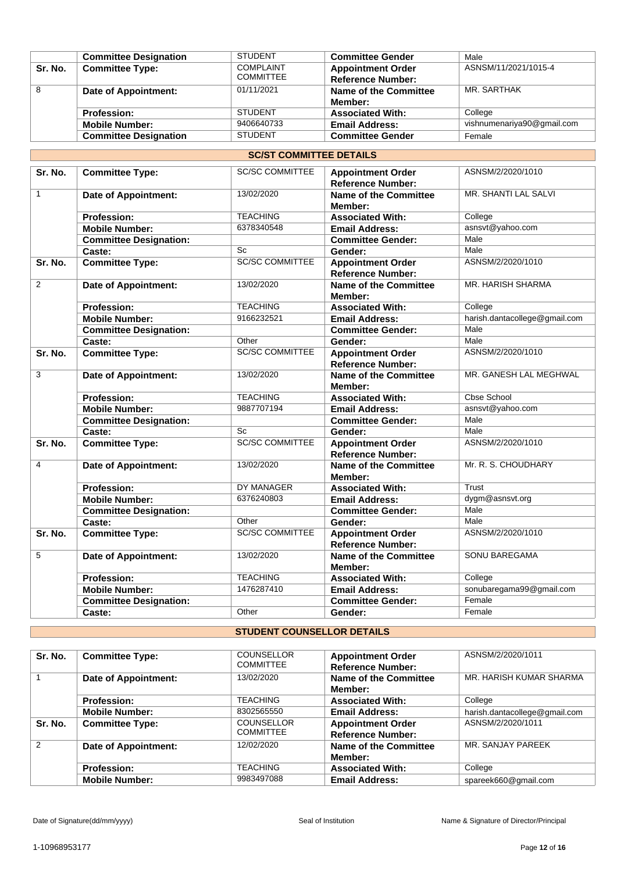|         | <b>Committee Designation</b> | <b>STUDENT</b>   | <b>Committee Gender</b>      | Male                       |
|---------|------------------------------|------------------|------------------------------|----------------------------|
| Sr. No. | <b>Committee Type:</b>       | <b>COMPLAINT</b> | <b>Appointment Order</b>     | ASNSM/11/2021/1015-4       |
|         |                              | <b>COMMITTEE</b> | <b>Reference Number:</b>     |                            |
| 8       | Date of Appointment:         | 01/11/2021       | <b>Name of the Committee</b> | MR. SARTHAK                |
|         |                              |                  | Member:                      |                            |
|         | <b>Profession:</b>           | <b>STUDENT</b>   | <b>Associated With:</b>      | College                    |
|         | <b>Mobile Number:</b>        | 9406640733       | <b>Email Address:</b>        | vishnumenariya90@gmail.com |
|         | <b>Committee Designation</b> | <b>STUDENT</b>   | <b>Committee Gender</b>      | Female                     |

#### **SC/ST COMMITTEE DETAILS**

| Sr. No.        | <b>Committee Type:</b>        | <b>SC/SC COMMITTEE</b> | <b>Appointment Order</b><br><b>Reference Number:</b> | ASNSM/2/2020/1010             |
|----------------|-------------------------------|------------------------|------------------------------------------------------|-------------------------------|
| $\mathbf{1}$   | <b>Date of Appointment:</b>   | 13/02/2020             | <b>Name of the Committee</b><br>Member:              | MR. SHANTI LAL SALVI          |
|                | <b>Profession:</b>            | <b>TEACHING</b>        | <b>Associated With:</b>                              | College                       |
|                | <b>Mobile Number:</b>         | 6378340548             | <b>Email Address:</b>                                | asnsvt@yahoo.com              |
|                | <b>Committee Designation:</b> |                        | <b>Committee Gender:</b>                             | Male                          |
|                | Caste:                        | Sc                     | Gender:                                              | Male                          |
| Sr. No.        | <b>Committee Type:</b>        | <b>SC/SC COMMITTEE</b> | <b>Appointment Order</b><br><b>Reference Number:</b> | ASNSM/2/2020/1010             |
| $\overline{2}$ | <b>Date of Appointment:</b>   | 13/02/2020             | <b>Name of the Committee</b><br>Member:              | <b>MR. HARISH SHARMA</b>      |
|                | <b>Profession:</b>            | <b>TEACHING</b>        | <b>Associated With:</b>                              | College                       |
|                | <b>Mobile Number:</b>         | 9166232521             | <b>Email Address:</b>                                | harish.dantacollege@gmail.com |
|                | <b>Committee Designation:</b> |                        | <b>Committee Gender:</b>                             | Male                          |
|                | Caste:                        | Other                  | Gender:                                              | Male                          |
| Sr. No.        | <b>Committee Type:</b>        | <b>SC/SC COMMITTEE</b> | <b>Appointment Order</b><br><b>Reference Number:</b> | ASNSM/2/2020/1010             |
| 3              | <b>Date of Appointment:</b>   | 13/02/2020             | <b>Name of the Committee</b><br>Member:              | MR. GANESH LAL MEGHWAL        |
|                | <b>Profession:</b>            | <b>TEACHING</b>        | <b>Associated With:</b>                              | Cbse School                   |
|                | <b>Mobile Number:</b>         | 9887707194             | <b>Email Address:</b>                                | asnsvt@yahoo.com              |
|                | <b>Committee Designation:</b> |                        | <b>Committee Gender:</b>                             | Male                          |
|                | Caste:                        | Sc                     | Gender:                                              | Male                          |
| Sr. No.        | <b>Committee Type:</b>        | <b>SC/SC COMMITTEE</b> | <b>Appointment Order</b><br><b>Reference Number:</b> | ASNSM/2/2020/1010             |
| 4              | Date of Appointment:          | 13/02/2020             | <b>Name of the Committee</b><br>Member:              | Mr. R. S. CHOUDHARY           |
|                | <b>Profession:</b>            | DY MANAGER             | <b>Associated With:</b>                              | Trust                         |
|                | <b>Mobile Number:</b>         | 6376240803             | <b>Email Address:</b>                                | dygm@asnsvt.org               |
|                | <b>Committee Designation:</b> |                        | <b>Committee Gender:</b>                             | Male                          |
|                | Caste:                        | Other                  | Gender:                                              | Male                          |
| Sr. No.        | <b>Committee Type:</b>        | <b>SC/SC COMMITTEE</b> | <b>Appointment Order</b><br><b>Reference Number:</b> | ASNSM/2/2020/1010             |
| 5              | <b>Date of Appointment:</b>   | 13/02/2020             | <b>Name of the Committee</b><br>Member:              | SONU BAREGAMA                 |
|                | <b>Profession:</b>            | <b>TEACHING</b>        | <b>Associated With:</b>                              | College                       |
|                | <b>Mobile Number:</b>         | 1476287410             | <b>Email Address:</b>                                | sonubaregama99@gmail.com      |
|                | <b>Committee Designation:</b> |                        | <b>Committee Gender:</b>                             | Female                        |
|                | Caste:                        | Other                  | Gender:                                              | Female                        |

## **STUDENT COUNSELLOR DETAILS**

| Sr. No. | <b>Committee Type:</b>      | <b>COUNSELLOR</b><br><b>COMMITTEE</b> | <b>Appointment Order</b><br><b>Reference Number:</b> | ASNSM/2/2020/1011             |
|---------|-----------------------------|---------------------------------------|------------------------------------------------------|-------------------------------|
|         | <b>Date of Appointment:</b> | 13/02/2020                            | Name of the Committee<br>Member:                     | MR. HARISH KUMAR SHARMA       |
|         | <b>Profession:</b>          | <b>TEACHING</b>                       | <b>Associated With:</b>                              | College                       |
|         | <b>Mobile Number:</b>       | 8302565550                            | <b>Email Address:</b>                                | harish.dantacollege@gmail.com |
| Sr. No. | <b>Committee Type:</b>      | <b>COUNSELLOR</b><br><b>COMMITTEE</b> | <b>Appointment Order</b><br><b>Reference Number:</b> | ASNSM/2/2020/1011             |
| 2       | Date of Appointment:        | 12/02/2020                            | Name of the Committee<br>Member:                     | MR. SANJAY PAREEK             |
|         | <b>Profession:</b>          | <b>TEACHING</b>                       | <b>Associated With:</b>                              | College                       |
|         | <b>Mobile Number:</b>       | 9983497088                            | <b>Email Address:</b>                                | spareek660@gmail.com          |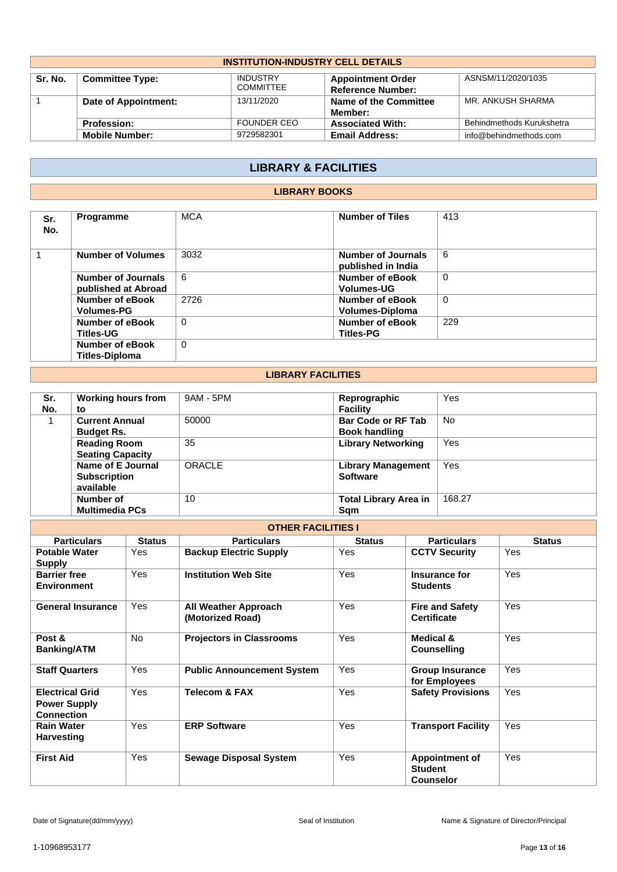| <b>INSTITUTION-INDUSTRY CELL DETAILS</b>                                                                                                               |                       |                    |                                  |                           |  |  |
|--------------------------------------------------------------------------------------------------------------------------------------------------------|-----------------------|--------------------|----------------------------------|---------------------------|--|--|
| <b>INDUSTRY</b><br>ASNSM/11/2020/1035<br>Sr. No.<br><b>Committee Type:</b><br><b>Appointment Order</b><br><b>COMMITTEE</b><br><b>Reference Number:</b> |                       |                    |                                  |                           |  |  |
|                                                                                                                                                        | Date of Appointment:  | 13/11/2020         | Name of the Committee<br>Member: | MR. ANKUSH SHARMA         |  |  |
|                                                                                                                                                        | <b>Profession:</b>    | <b>FOUNDER CEO</b> | <b>Associated With:</b>          | Behindmethods Kurukshetra |  |  |
|                                                                                                                                                        | <b>Mobile Number:</b> | 9729582301         | <b>Email Address:</b>            | info@behindmethods.com    |  |  |

# **LIBRARY & FACILITIES**

### **LIBRARY BOOKS**

| Sr.<br>No. | <b>Programme</b>                                 | <b>MCA</b> | <b>Number of Tiles</b>                    | 413         |
|------------|--------------------------------------------------|------------|-------------------------------------------|-------------|
|            | <b>Number of Volumes</b>                         | 3032       | Number of Journals<br>published in India  | 6           |
|            | <b>Number of Journals</b><br>published at Abroad | 6          | Number of eBook<br><b>Volumes-UG</b>      | $\mathbf 0$ |
|            | <b>Number of eBook</b><br><b>Volumes-PG</b>      | 2726       | <b>Number of eBook</b><br>Volumes-Diploma | $\mathbf 0$ |
|            | Number of eBook<br><b>Titles-UG</b>              | $\Omega$   | Number of eBook<br><b>Titles-PG</b>       | 229         |
|            | Number of eBook<br><b>Titles-Diploma</b>         | 0          |                                           |             |

## **LIBRARY FACILITIES**

| Sr. | <b>Working hours from</b> | 9AM - 5PM | Reprographic                 | Yes        |
|-----|---------------------------|-----------|------------------------------|------------|
| No. | to                        |           | <b>Facility</b>              |            |
|     | <b>Current Annual</b>     | 50000     | <b>Bar Code or RF Tab</b>    | <b>No</b>  |
|     | <b>Budget Rs.</b>         |           | <b>Book handling</b>         |            |
|     | <b>Reading Room</b>       | 35        | <b>Library Networking</b>    | <b>Yes</b> |
|     | <b>Seating Capacity</b>   |           |                              |            |
|     | Name of E Journal         | ORACLE    | <b>Library Management</b>    | Yes        |
|     | <b>Subscription</b>       |           | <b>Software</b>              |            |
|     | available                 |           |                              |            |
|     | Number of                 | 10        | <b>Total Library Area in</b> | 168.27     |
|     | <b>Multimedia PCs</b>     |           | Sam                          |            |

| <b>OTHER FACILITIES I</b>                                          |               |                                                 |               |                                                             |               |  |
|--------------------------------------------------------------------|---------------|-------------------------------------------------|---------------|-------------------------------------------------------------|---------------|--|
| <b>Particulars</b>                                                 | <b>Status</b> | <b>Particulars</b>                              | <b>Status</b> | <b>Particulars</b>                                          | <b>Status</b> |  |
| <b>Potable Water</b><br><b>Supply</b>                              | Yes           | <b>Backup Electric Supply</b>                   | Yes           | <b>CCTV Security</b>                                        | Yes           |  |
| <b>Barrier free</b><br><b>Environment</b>                          | Yes           | <b>Institution Web Site</b>                     | Yes           | Insurance for<br><b>Students</b>                            | Yes           |  |
| <b>General Insurance</b>                                           | Yes           | <b>All Weather Approach</b><br>(Motorized Road) | <b>Yes</b>    | <b>Fire and Safety</b><br><b>Certificate</b>                | Yes           |  |
| Post &<br><b>Banking/ATM</b>                                       | No.           | <b>Projectors in Classrooms</b>                 | Yes           | Medical &<br><b>Counselling</b>                             | Yes           |  |
| <b>Staff Quarters</b>                                              | Yes           | <b>Public Announcement System</b>               | Yes           | <b>Group Insurance</b><br>for Employees                     | Yes           |  |
| <b>Electrical Grid</b><br><b>Power Supply</b><br><b>Connection</b> | Yes           | <b>Telecom &amp; FAX</b>                        | Yes           | <b>Safety Provisions</b>                                    | Yes           |  |
| <b>Rain Water</b><br><b>Harvesting</b>                             | Yes           | <b>ERP Software</b>                             | Yes           | <b>Transport Facility</b>                                   | Yes           |  |
| <b>First Aid</b>                                                   | Yes           | <b>Sewage Disposal System</b>                   | Yes           | <b>Appointment of</b><br><b>Student</b><br><b>Counselor</b> | Yes           |  |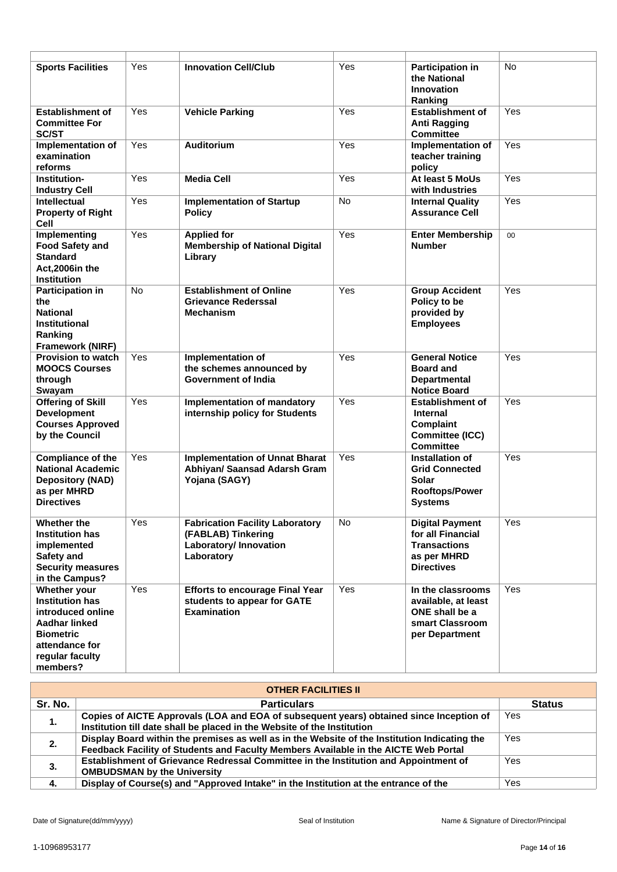| <b>Sports Facilities</b>                                                                                                                          | Yes        | <b>Innovation Cell/Club</b>                                                                          | Yes        | <b>Participation in</b><br>the National<br>Innovation<br>Ranking                                       | No         |
|---------------------------------------------------------------------------------------------------------------------------------------------------|------------|------------------------------------------------------------------------------------------------------|------------|--------------------------------------------------------------------------------------------------------|------------|
| <b>Establishment of</b><br><b>Committee For</b><br>SC/ST<br>Implementation of<br>examination                                                      | Yes<br>Yes | <b>Vehicle Parking</b><br><b>Auditorium</b>                                                          | Yes<br>Yes | <b>Establishment of</b><br>Anti Ragging<br><b>Committee</b><br>Implementation of<br>teacher training   | Yes<br>Yes |
| reforms<br>Institution-<br><b>Industry Cell</b>                                                                                                   | Yes        | Media Cell                                                                                           | Yes        | policy<br>At least 5 MoUs<br>with Industries                                                           | Yes        |
| <b>Intellectual</b><br><b>Property of Right</b><br>Cell                                                                                           | Yes        | <b>Implementation of Startup</b><br><b>Policy</b>                                                    | No         | <b>Internal Quality</b><br><b>Assurance Cell</b>                                                       | Yes        |
| Implementing<br><b>Food Safety and</b><br><b>Standard</b><br>Act, 2006in the<br><b>Institution</b>                                                | Yes        | <b>Applied for</b><br><b>Membership of National Digital</b><br>Library                               | Yes        | <b>Enter Membership</b><br><b>Number</b>                                                               | 00         |
| <b>Participation in</b><br>the<br><b>National</b><br>Institutional<br>Ranking<br><b>Framework (NIRF)</b>                                          | <b>No</b>  | <b>Establishment of Online</b><br><b>Grievance Rederssal</b><br><b>Mechanism</b>                     | Yes        | <b>Group Accident</b><br>Policy to be<br>provided by<br><b>Employees</b>                               | Yes        |
| <b>Provision to watch</b><br><b>MOOCS Courses</b><br>through<br>Swayam                                                                            | Yes        | Implementation of<br>the schemes announced by<br>Government of India                                 | Yes        | <b>General Notice</b><br><b>Board and</b><br><b>Departmental</b><br><b>Notice Board</b>                | Yes        |
| <b>Offering of Skill</b><br><b>Development</b><br><b>Courses Approved</b><br>by the Council                                                       | Yes        | <b>Implementation of mandatory</b><br>internship policy for Students                                 | Yes        | <b>Establishment of</b><br>Internal<br>Complaint<br>Committee (ICC)<br><b>Committee</b>                | Yes        |
| <b>Compliance of the</b><br><b>National Academic</b><br><b>Depository (NAD)</b><br>as per MHRD<br><b>Directives</b>                               | Yes        | <b>Implementation of Unnat Bharat</b><br>Abhiyan/ Saansad Adarsh Gram<br>Yojana (SAGY)               | Yes        | Installation of<br><b>Grid Connected</b><br>Solar<br><b>Rooftops/Power</b><br><b>Systems</b>           | Yes        |
| Whether the<br><b>Institution has</b><br>implemented<br>Safety and<br><b>Security measures</b><br>in the Campus?                                  | Yes        | <b>Fabrication Facility Laboratory</b><br>(FABLAB) Tinkering<br>Laboratory/ Innovation<br>Laboratory | No         | <b>Digital Payment</b><br>for all Financial<br><b>Transactions</b><br>as per MHRD<br><b>Directives</b> | Yes        |
| Whether your<br><b>Institution has</b><br>introduced online<br>Aadhar linked<br><b>Biometric</b><br>attendance for<br>regular faculty<br>members? | Yes        | <b>Efforts to encourage Final Year</b><br>students to appear for GATE<br><b>Examination</b>          | Yes        | In the classrooms<br>available, at least<br>ONE shall be a<br>smart Classroom<br>per Department        | Yes        |

| <b>OTHER FACILITIES II</b> |                                                                                                                                                                                      |               |  |  |  |
|----------------------------|--------------------------------------------------------------------------------------------------------------------------------------------------------------------------------------|---------------|--|--|--|
| Sr. No.                    | <b>Particulars</b>                                                                                                                                                                   | <b>Status</b> |  |  |  |
| 1.                         | Copies of AICTE Approvals (LOA and EOA of subsequent years) obtained since Inception of<br>Institution till date shall be placed in the Website of the Institution                   | Yes           |  |  |  |
| 2.                         | Display Board within the premises as well as in the Website of the Institution Indicating the<br>Feedback Facility of Students and Faculty Members Available in the AICTE Web Portal | Yes           |  |  |  |
| 3.                         | Establishment of Grievance Redressal Committee in the Institution and Appointment of<br><b>OMBUDSMAN by the University</b>                                                           | Yes           |  |  |  |
| -4.                        | Display of Course(s) and "Approved Intake" in the Institution at the entrance of the                                                                                                 | Yes           |  |  |  |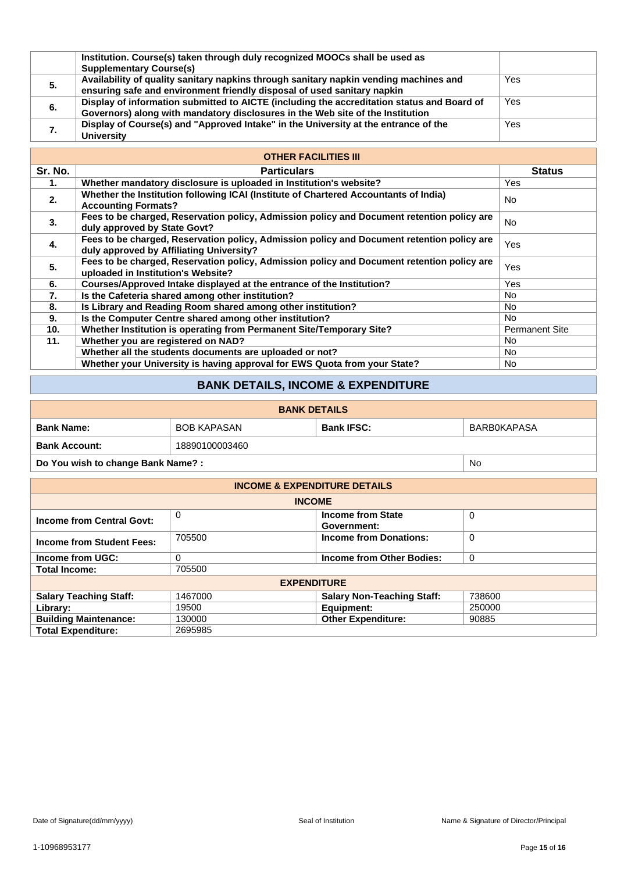|    | Institution. Course(s) taken through duly recognized MOOCs shall be used as<br><b>Supplementary Course(s)</b>                                                                |     |
|----|------------------------------------------------------------------------------------------------------------------------------------------------------------------------------|-----|
| 5. | Availability of quality sanitary napkins through sanitary napkin vending machines and<br>ensuring safe and environment friendly disposal of used sanitary napkin             | Yes |
| 6. | Display of information submitted to AICTE (including the accreditation status and Board of<br>Governors) along with mandatory disclosures in the Web site of the Institution | Yes |
| 7. | Display of Course(s) and "Approved Intake" in the University at the entrance of the<br><b>University</b>                                                                     | Yes |

# **OTHER FACILITIES III**

| Sr. No. | <b>Particulars</b>                                                                                                                     | <b>Status</b>         |  |  |  |
|---------|----------------------------------------------------------------------------------------------------------------------------------------|-----------------------|--|--|--|
| 1.      | Whether mandatory disclosure is uploaded in Institution's website?                                                                     | Yes                   |  |  |  |
| 2.      | Whether the Institution following ICAI (Institute of Chartered Accountants of India)<br><b>Accounting Formats?</b>                     | No.                   |  |  |  |
| 3.      | Fees to be charged, Reservation policy, Admission policy and Document retention policy are<br>duly approved by State Govt?             | No.                   |  |  |  |
| 4.      | Fees to be charged, Reservation policy, Admission policy and Document retention policy are<br>duly approved by Affiliating University? | Yes                   |  |  |  |
| 5.      | Fees to be charged, Reservation policy, Admission policy and Document retention policy are<br>uploaded in Institution's Website?       | Yes                   |  |  |  |
| 6.      | Courses/Approved Intake displayed at the entrance of the Institution?                                                                  | Yes                   |  |  |  |
| 7.      | Is the Cafeteria shared among other institution?                                                                                       | No.                   |  |  |  |
| 8.      | Is Library and Reading Room shared among other institution?                                                                            | No.                   |  |  |  |
| 9.      | Is the Computer Centre shared among other institution?                                                                                 | No.                   |  |  |  |
| 10.     | Whether Institution is operating from Permanent Site/Temporary Site?                                                                   | <b>Permanent Site</b> |  |  |  |
| 11.     | Whether you are registered on NAD?                                                                                                     | No.                   |  |  |  |
|         | Whether all the students documents are uploaded or not?                                                                                | No.                   |  |  |  |
|         | Whether your University is having approval for EWS Quota from your State?                                                              | No.                   |  |  |  |

# **BANK DETAILS, INCOME & EXPENDITURE**

| <b>BANK DETAILS</b>               |                    |                   |             |  |  |  |
|-----------------------------------|--------------------|-------------------|-------------|--|--|--|
| <b>Bank Name:</b>                 | <b>BOB KAPASAN</b> | <b>Bank IFSC:</b> | BARBOKAPASA |  |  |  |
| <b>Bank Account:</b>              | 18890100003460     |                   |             |  |  |  |
| Do You wish to change Bank Name?: | No                 |                   |             |  |  |  |

| <b>INCOME &amp; EXPENDITURE DETAILS</b> |         |                                         |        |  |  |  |  |
|-----------------------------------------|---------|-----------------------------------------|--------|--|--|--|--|
| <b>INCOME</b>                           |         |                                         |        |  |  |  |  |
| <b>Income from Central Govt:</b>        | 0       | <b>Income from State</b><br>Government: | 0      |  |  |  |  |
| <b>Income from Student Fees:</b>        | 705500  | <b>Income from Donations:</b>           | 0      |  |  |  |  |
| Income from UGC:                        | 0       | Income from Other Bodies:               | 0      |  |  |  |  |
| <b>Total Income:</b>                    | 705500  |                                         |        |  |  |  |  |
| <b>EXPENDITURE</b>                      |         |                                         |        |  |  |  |  |
| <b>Salary Teaching Staff:</b>           | 1467000 | <b>Salary Non-Teaching Staff:</b>       | 738600 |  |  |  |  |
| Library:                                | 19500   | Equipment:                              | 250000 |  |  |  |  |
| <b>Building Maintenance:</b>            | 130000  | <b>Other Expenditure:</b>               | 90885  |  |  |  |  |
| <b>Total Expenditure:</b>               | 2695985 |                                         |        |  |  |  |  |